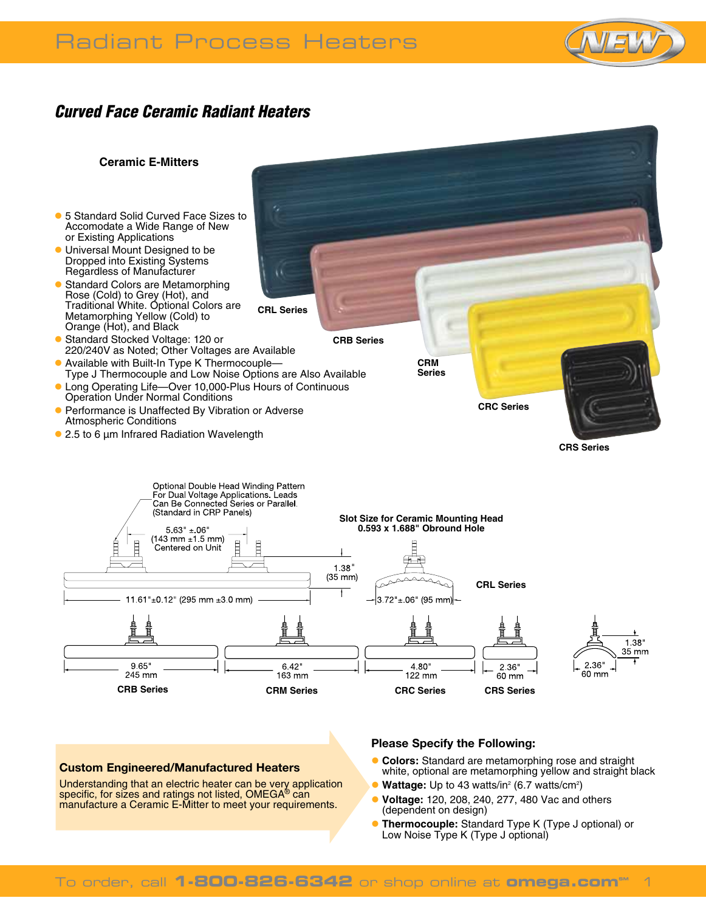# Radiant Process Heaters



## *Curved Face Ceramic Radiant Heaters*



### **Custom Engineered/Manufactured Heaters**

Understanding that an electric heater can be very application specific, for sizes and ratings not listed, OMEGA<sup>®</sup> can manufacture a Ceramic E-Mitter to meet your requirements.

#### **Please Specify the Following:**

- **Colors:** Standard are metamorphing rose and straight white, optional are metamorphing yellow and straight black
- **Wattage:** Up to 43 watts/in<sup>2</sup> (6.7 watts/cm<sup>2</sup>)
- l **Voltage:** 120, 208, 240, 277, 480 Vac and others (dependent on design)
- **Thermocouple:** Standard Type K (Type J optional) or Low Noise Type K (Type J optional)